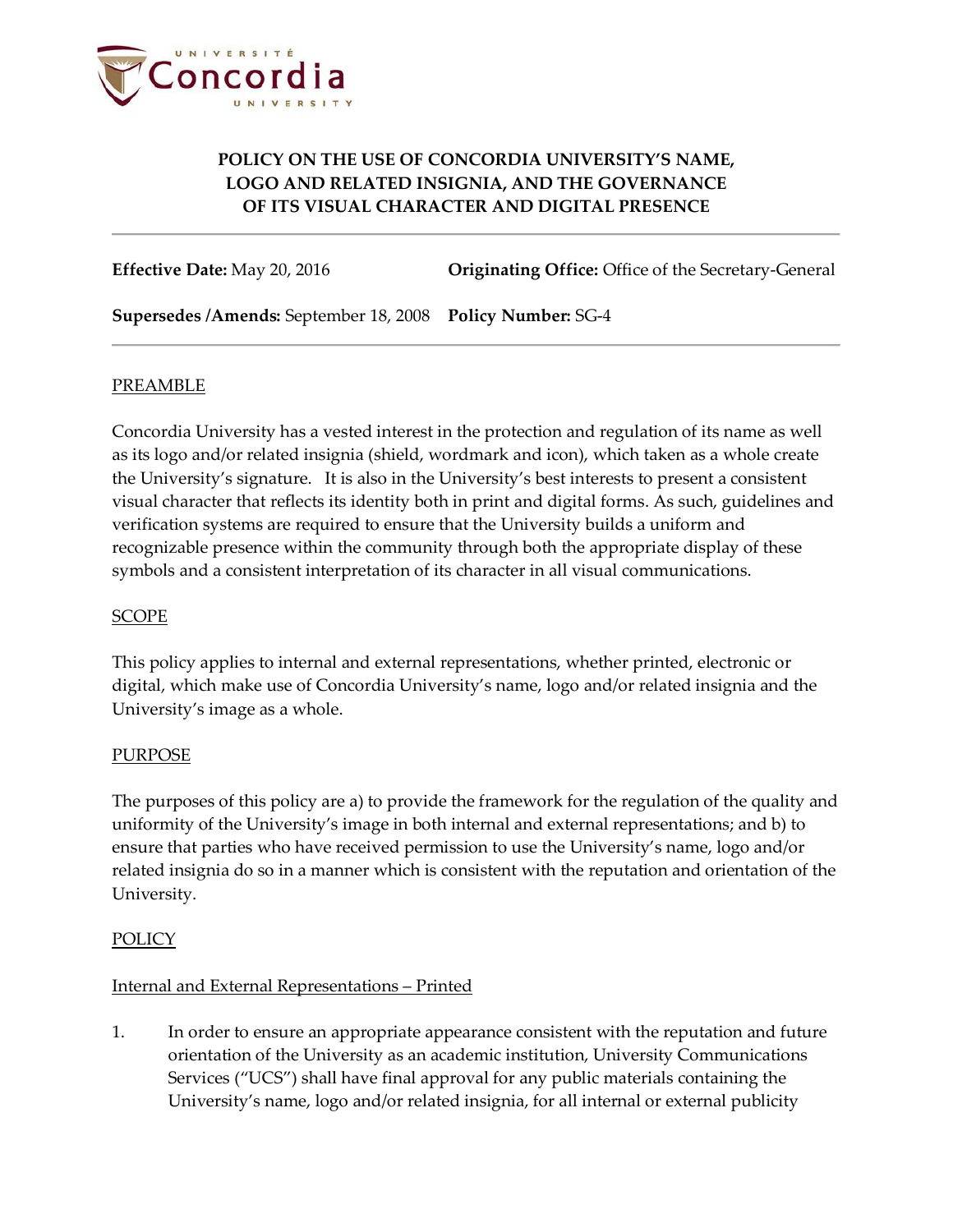

**Effective Date:** May 20, 2016 **Originating Office:** Office of the Secretary-General

**Supersedes /Amends:** September 18, 2008 **Policy Number:** SG-4

### PREAMBLE

Concordia University has a vested interest in the protection and regulation of its name as well as its logo and/or related insignia (shield, wordmark and icon), which taken as a whole create the University's signature. It is also in the University's best interests to present a consistent visual character that reflects its identity both in print and digital forms. As such, guidelines and verification systems are required to ensure that the University builds a uniform and recognizable presence within the community through both the appropriate display of these symbols and a consistent interpretation of its character in all visual communications.

### SCOPE

This policy applies to internal and external representations, whether printed, electronic or digital, which make use of Concordia University's name, logo and/or related insignia and the University's image as a whole.

### PURPOSE

The purposes of this policy are a) to provide the framework for the regulation of the quality and uniformity of the University's image in both internal and external representations; and b) to ensure that parties who have received permission to use the University's name, logo and/or related insignia do so in a manner which is consistent with the reputation and orientation of the University.

### POLICY

### Internal and External Representations – Printed

1. In order to ensure an appropriate appearance consistent with the reputation and future orientation of the University as an academic institution, University Communications Services ("UCS") shall have final approval for any public materials containing the University's name, logo and/or related insignia, for all internal or external publicity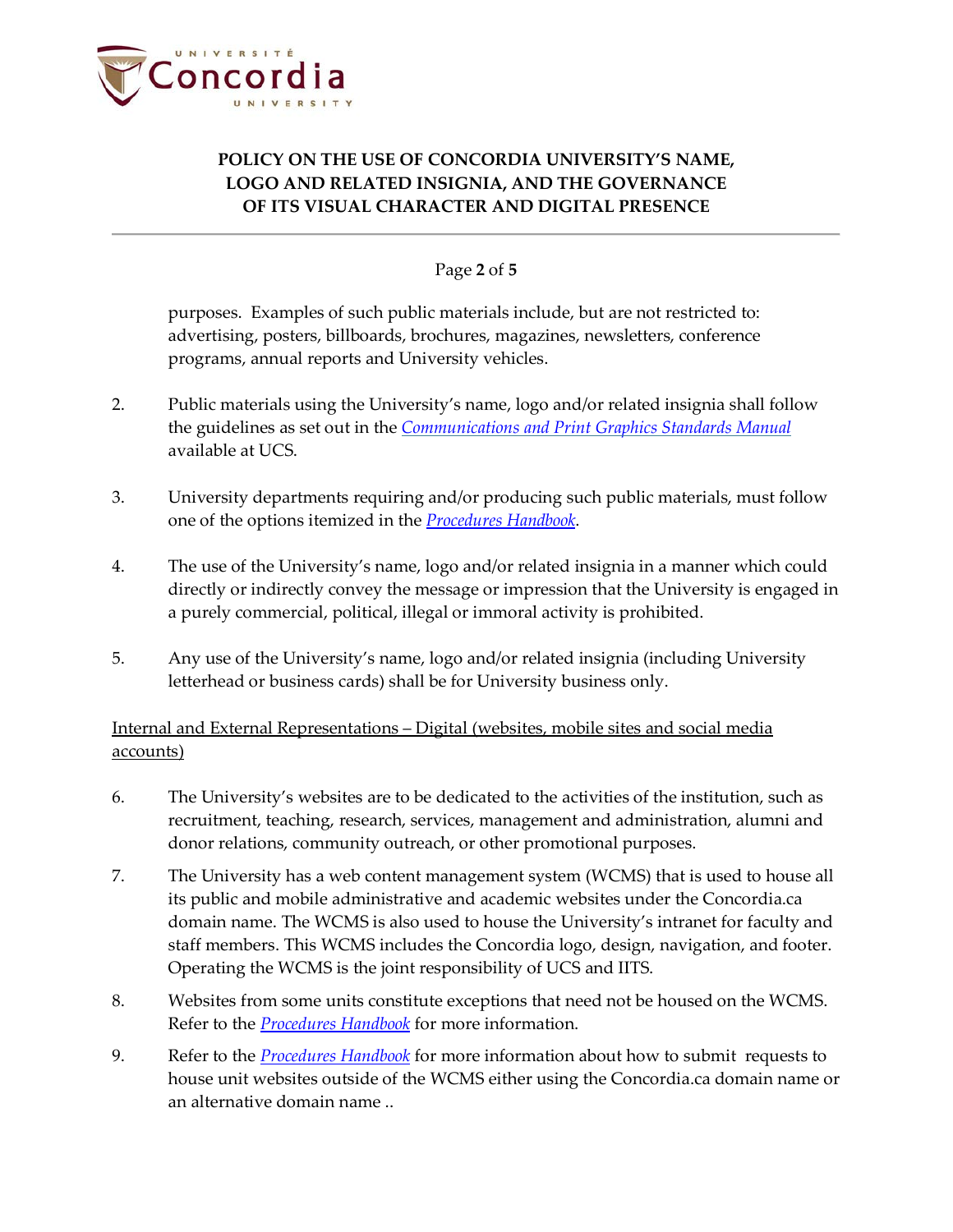

### Page **2** of **5**

purposes. Examples of such public materials include, but are not restricted to: advertising, posters, billboards, brochures, magazines, newsletters, conference programs, annual reports and University vehicles.

- 2. Public materials using the University's name, logo and/or related insignia shall follow the guidelines as set out in the *[Communications and Print Graphics Standards Manual](https://cspace.concordia.ca/content/dam/cspace/docs/concordia-brand-manual.pdf)* available at UCS.
- 3. University departments requiring and/or producing such public materials, must follow one of the options itemized in the *[Procedures](http://www.concordia.ca/content/dam/common/docs/policies/official-policies/SG-4-handbook.pdf) Handbook*.
- 4. The use of the University's name, logo and/or related insignia in a manner which could directly or indirectly convey the message or impression that the University is engaged in a purely commercial, political, illegal or immoral activity is prohibited.
- 5. Any use of the University's name, logo and/or related insignia (including University letterhead or business cards) shall be for University business only.

### Internal and External Representations – Digital (websites, mobile sites and social media accounts)

- 6. The University's websites are to be dedicated to the activities of the institution, such as recruitment, teaching, research, services, management and administration, alumni and donor relations, community outreach, or other promotional purposes.
- 7. The University has a web content management system (WCMS) that is used to house all its public and mobile administrative and academic websites under the Concordia.ca domain name. The WCMS is also used to house the University's intranet for faculty and staff members. This WCMS includes the Concordia logo, design, navigation, and footer. Operating the WCMS is the joint responsibility of UCS and IITS.
- 8. Websites from some units constitute exceptions that need not be housed on the WCMS. Refer to the *[Procedures Handbook](http://www.concordia.ca/content/dam/common/docs/policies/official-policies/SG-4-handbook.pdf)* for more information.
- 9. Refer to the *[Procedures Handbook](http://www.concordia.ca/content/dam/common/docs/policies/official-policies/SG-4-handbook.pdf)* for more information about how to submit requests to house unit websites outside of the WCMS either using the Concordia.ca domain name or an alternative domain name ..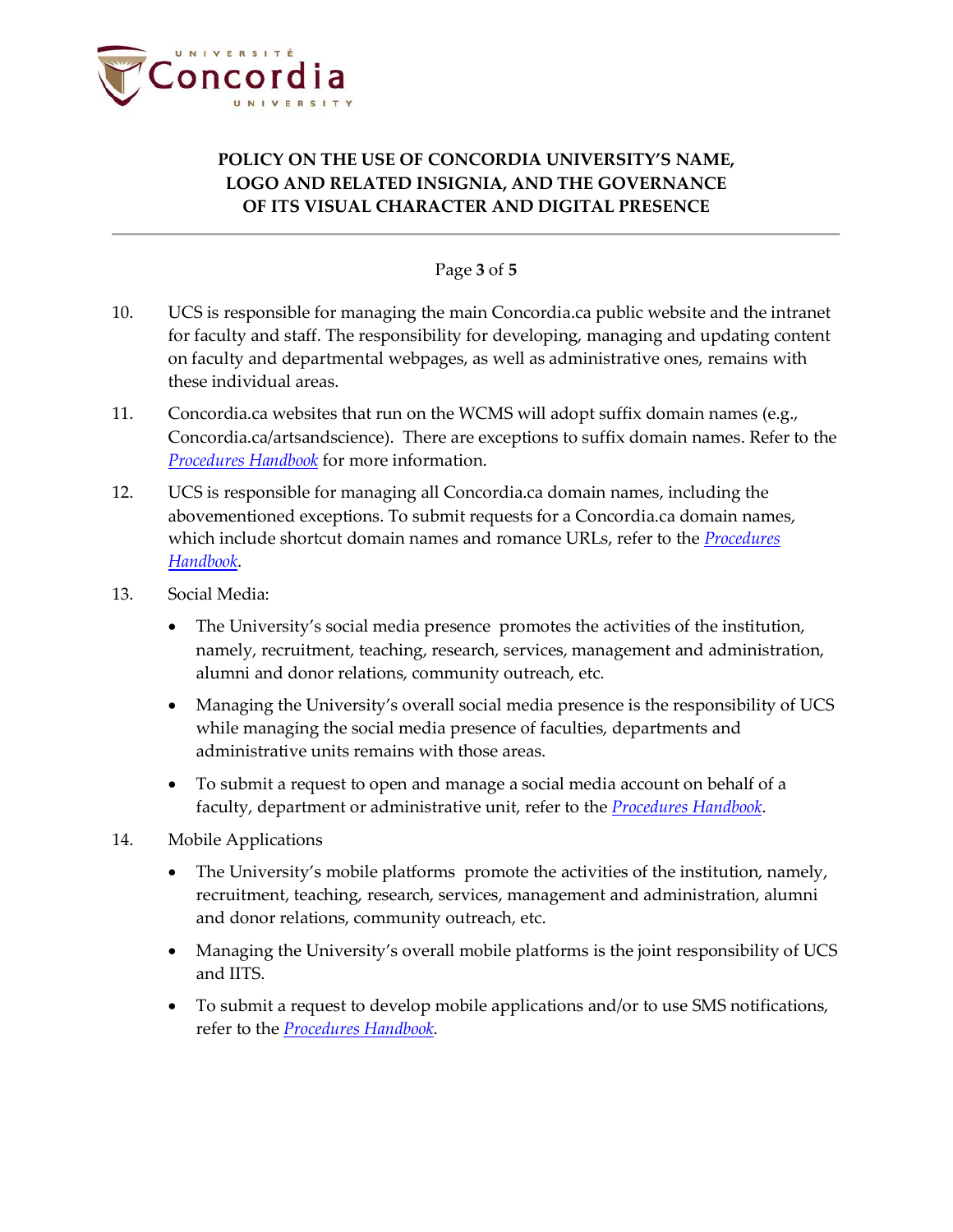

### Page **3** of **5**

- 10. UCS is responsible for managing the main Concordia.ca public website and the intranet for faculty and staff. The responsibility for developing, managing and updating content on faculty and departmental webpages, as well as administrative ones, remains with these individual areas.
- 11. Concordia.ca websites that run on the WCMS will adopt suffix domain names (e.g., Concordia.ca/artsandscience). There are exceptions to suffix domain names. Refer to the *[Procedures Handbook](http://www.concordia.ca/content/dam/common/docs/policies/official-policies/SG-4-handbook.pdf)* for more information.
- 12. UCS is responsible for managing all Concordia.ca domain names, including the abovementioned exceptions. To submit requests for a Concordia.ca domain names, which include shortcut domain names and romance URLs, refer to the *[Procedures](http://www.concordia.ca/content/dam/common/docs/policies/official-policies/SG-4-handbook.pdf)  [Handbook](http://www.concordia.ca/content/dam/common/docs/policies/official-policies/SG-4-handbook.pdf)*.
- 13. Social Media:
	- The University's social media presence promotes the activities of the institution, namely, recruitment, teaching, research, services, management and administration, alumni and donor relations, community outreach, etc.
	- Managing the University's overall social media presence is the responsibility of UCS while managing the social media presence of faculties, departments and administrative units remains with those areas.
	- To submit a request to open and manage a social media account on behalf of a faculty, department or administrative unit, refer to the *[Procedures Handbook](http://www.concordia.ca/content/dam/common/docs/policies/official-policies/SG-4-handbook.pdf)*.
- 14. Mobile Applications
	- The University's mobile platforms promote the activities of the institution, namely, recruitment, teaching, research, services, management and administration, alumni and donor relations, community outreach, etc.
	- Managing the University's overall mobile platforms is the joint responsibility of UCS and IITS.
	- To submit a request to develop mobile applications and/or to use SMS notifications, refer to the *[Procedures Handbook](http://www.concordia.ca/content/dam/common/docs/policies/official-policies/SG-4-handbook.pdf)*.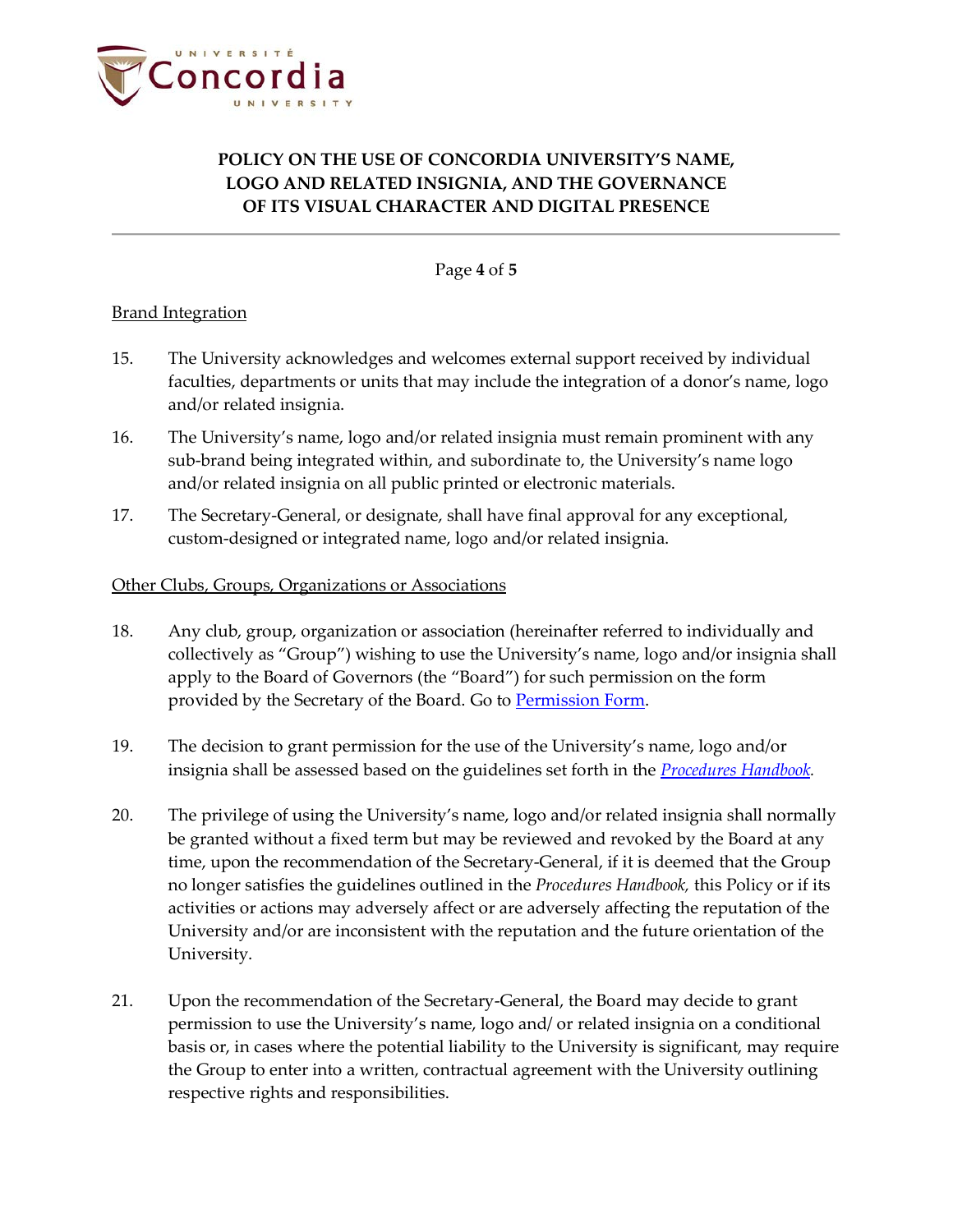

Page **4** of **5**

### **Brand Integration**

- 15. The University acknowledges and welcomes external support received by individual faculties, departments or units that may include the integration of a donor's name, logo and/or related insignia.
- 16. The University's name, logo and/or related insignia must remain prominent with any sub-brand being integrated within, and subordinate to, the University's name logo and/or related insignia on all public printed or electronic materials.
- 17. The Secretary-General, or designate, shall have final approval for any exceptional, custom-designed or integrated name, logo and/or related insignia.

#### Other Clubs, Groups, Organizations or Associations

- 18. Any club, group, organization or association (hereinafter referred to individually and collectively as "Group") wishing to use the University's name, logo and/or insignia shall apply to the Board of Governors (the "Board") for such permission on the form provided by the Secretary of the Board. Go to [Permission Form.](http://www.concordia.ca/content/dam/common/docs/policies/official-policies/PermissionRequestForm.pdf)
- 19. The decision to grant permission for the use of the University's name, logo and/or insignia shall be assessed based on the guidelines set forth in the *[Procedures Handbook.](http://www.concordia.ca/content/dam/common/docs/policies/official-policies/SG-4-handbook.pdf)*
- 20. The privilege of using the University's name, logo and/or related insignia shall normally be granted without a fixed term but may be reviewed and revoked by the Board at any time, upon the recommendation of the Secretary-General, if it is deemed that the Group no longer satisfies the guidelines outlined in the *Procedures Handbook,* this Policy or if its activities or actions may adversely affect or are adversely affecting the reputation of the University and/or are inconsistent with the reputation and the future orientation of the University.
- 21. Upon the recommendation of the Secretary-General, the Board may decide to grant permission to use the University's name, logo and/ or related insignia on a conditional basis or, in cases where the potential liability to the University is significant, may require the Group to enter into a written, contractual agreement with the University outlining respective rights and responsibilities.